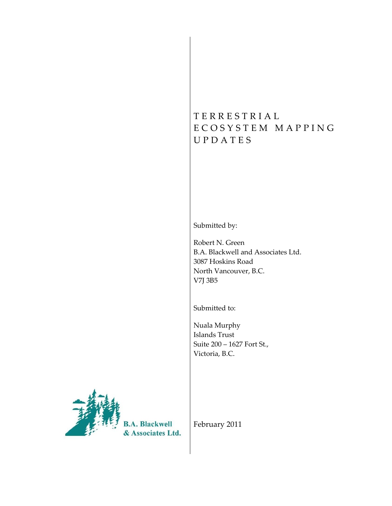# T E R R E S T R I A L E C O S Y S T E M M A P P I N G U P D A T E S

Submitted by:

Robert N. Green B.A. Blackwell and Associates Ltd. 3087 Hoskins Road North Vancouver, B.C. V7J 3B5

Submitted to:

Nuala Murphy Islands Trust Suite 200 – 1627 Fort St., Victoria, B.C.



**B.A. Blackwell** & Associates Ltd.

February 2011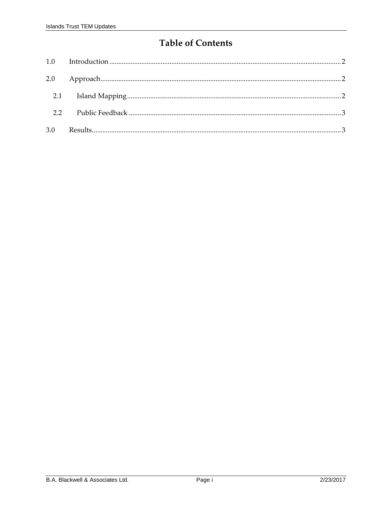## **Table of Contents**

| 3.0 |  |
|-----|--|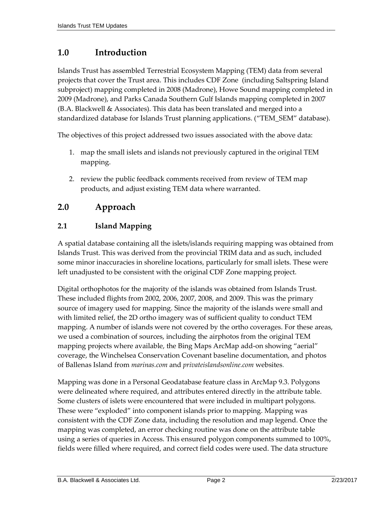### <span id="page-2-0"></span>**1.0 Introduction**

Islands Trust has assembled Terrestrial Ecosystem Mapping (TEM) data from several projects that cover the Trust area. This includes CDF Zone (including Saltspring Island subproject) mapping completed in 2008 (Madrone), Howe Sound mapping completed in 2009 (Madrone), and Parks Canada Southern Gulf Islands mapping completed in 2007 (B.A. Blackwell & Associates). This data has been translated and merged into a standardized database for Islands Trust planning applications. ("TEM\_SEM" database).

The objectives of this project addressed two issues associated with the above data:

- 1. map the small islets and islands not previously captured in the original TEM mapping.
- 2. review the public feedback comments received from review of TEM map products, and adjust existing TEM data where warranted.

### <span id="page-2-1"></span>**2.0 Approach**

#### <span id="page-2-2"></span>**2.1 Island Mapping**

A spatial database containing all the islets/islands requiring mapping was obtained from Islands Trust. This was derived from the provincial TRIM data and as such, included some minor inaccuracies in shoreline locations, particularly for small islets. These were left unadjusted to be consistent with the original CDF Zone mapping project.

Digital orthophotos for the majority of the islands was obtained from Islands Trust. These included flights from 2002, 2006, 2007, 2008, and 2009. This was the primary source of imagery used for mapping. Since the majority of the islands were small and with limited relief, the 2D ortho imagery was of sufficient quality to conduct TEM mapping. A number of islands were not covered by the ortho coverages. For these areas, we used a combination of sources, including the airphotos from the original TEM mapping projects where available, the Bing Maps ArcMap add-on showing "aerial" coverage, the Winchelsea Conservation Covenant baseline documentation, and photos of Ballenas Island from *marinas.com* and *privateislandsonline.com* websites.

Mapping was done in a Personal Geodatabase feature class in ArcMap 9.3. Polygons were delineated where required, and attributes entered directly in the attribute table. Some clusters of islets were encountered that were included in multipart polygons. These were "exploded" into component islands prior to mapping. Mapping was consistent with the CDF Zone data, including the resolution and map legend. Once the mapping was completed, an error checking routine was done on the attribute table using a series of queries in Access. This ensured polygon components summed to 100%, fields were filled where required, and correct field codes were used. The data structure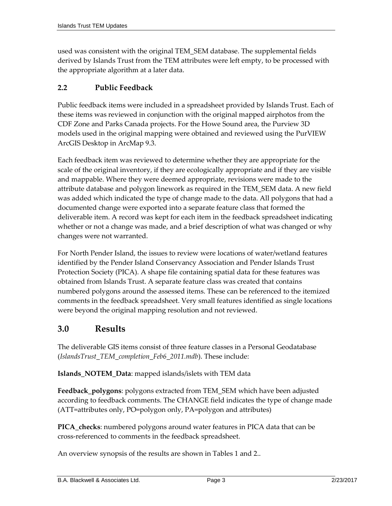used was consistent with the original TEM\_SEM database. The supplemental fields derived by Islands Trust from the TEM attributes were left empty, to be processed with the appropriate algorithm at a later data.

#### <span id="page-3-0"></span>**2.2 Public Feedback**

Public feedback items were included in a spreadsheet provided by Islands Trust. Each of these items was reviewed in conjunction with the original mapped airphotos from the CDF Zone and Parks Canada projects. For the Howe Sound area, the Purview 3D models used in the original mapping were obtained and reviewed using the PurVIEW ArcGIS Desktop in ArcMap 9.3.

Each feedback item was reviewed to determine whether they are appropriate for the scale of the original inventory, if they are ecologically appropriate and if they are visible and mappable. Where they were deemed appropriate, revisions were made to the attribute database and polygon linework as required in the TEM\_SEM data. A new field was added which indicated the type of change made to the data. All polygons that had a documented change were exported into a separate feature class that formed the deliverable item. A record was kept for each item in the feedback spreadsheet indicating whether or not a change was made, and a brief description of what was changed or why changes were not warranted.

For North Pender Island, the issues to review were locations of water/wetland features identified by the Pender Island Conservancy Association and Pender Islands Trust Protection Society (PICA). A shape file containing spatial data for these features was obtained from Islands Trust. A separate feature class was created that contains numbered polygons around the assessed items. These can be referenced to the itemized comments in the feedback spreadsheet. Very small features identified as single locations were beyond the original mapping resolution and not reviewed.

### <span id="page-3-1"></span>**3.0 Results**

The deliverable GIS items consist of three feature classes in a Personal Geodatabase (*IslandsTrust\_TEM\_completion\_Feb6\_2011.mdb*). These include:

**Islands\_NOTEM\_Data**: mapped islands/islets with TEM data

**Feedback\_polygons**: polygons extracted from TEM\_SEM which have been adjusted according to feedback comments. The CHANGE field indicates the type of change made (ATT=attributes only, PO=polygon only, PA=polygon and attributes)

**PICA\_checks**: numbered polygons around water features in PICA data that can be cross-referenced to comments in the feedback spreadsheet.

An overview synopsis of the results are shown in Tables 1 and 2..